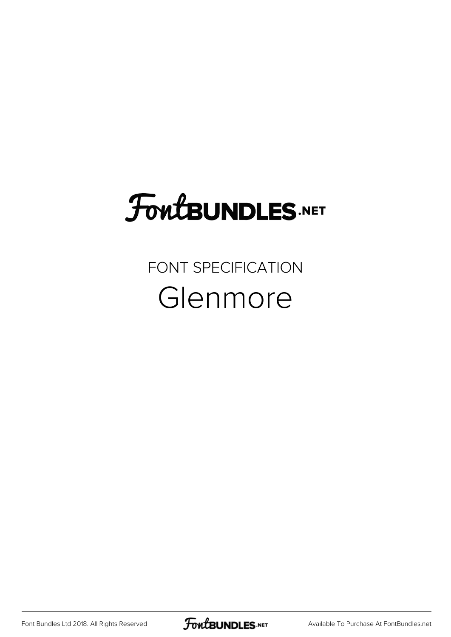# FoutBUNDLES.NET

### FONT SPECIFICATION Glenmore

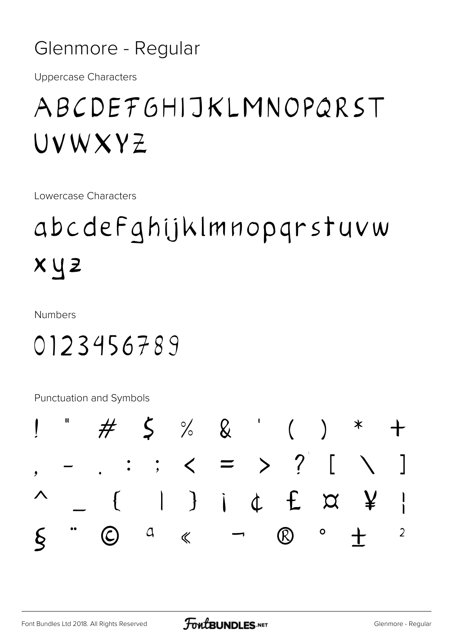#### Glenmore - Regular

**Uppercase Characters** 

# ABCDEFGHIJKLMNOPQRST UVWXYZ

Lowercase Characters

# abcdefahijklmnoparstuvw  $x y z$

**Numbers** 

## 0123456789

Punctuation and Symbols

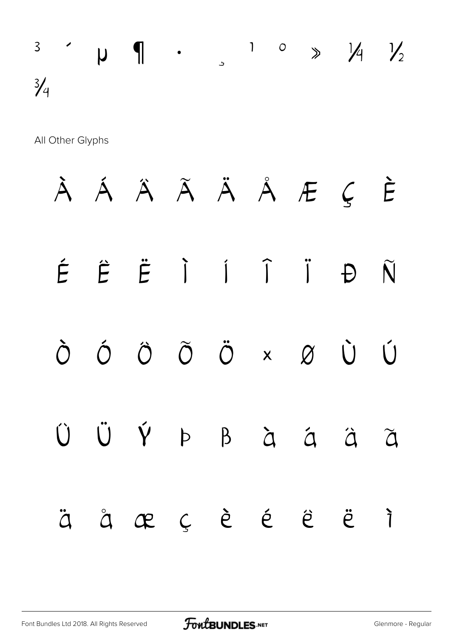$\begin{array}{ccccccc}\n3 & 1 & 0 & \rightarrow & \mathcal{V}_1 & \mathcal{V}_2 & & & & \n\end{array}$  $\frac{3}{4}$ 

All Other Glyphs

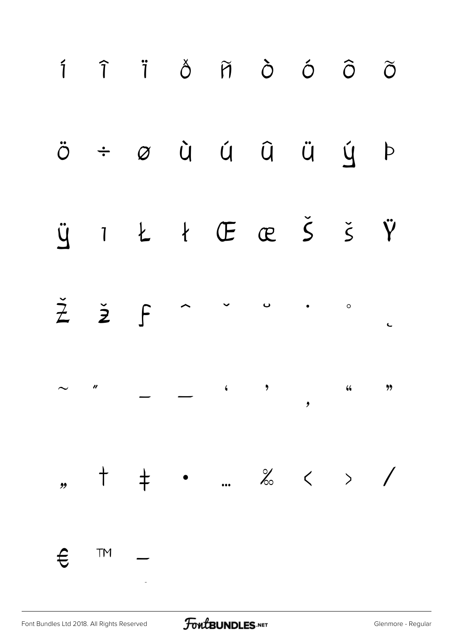